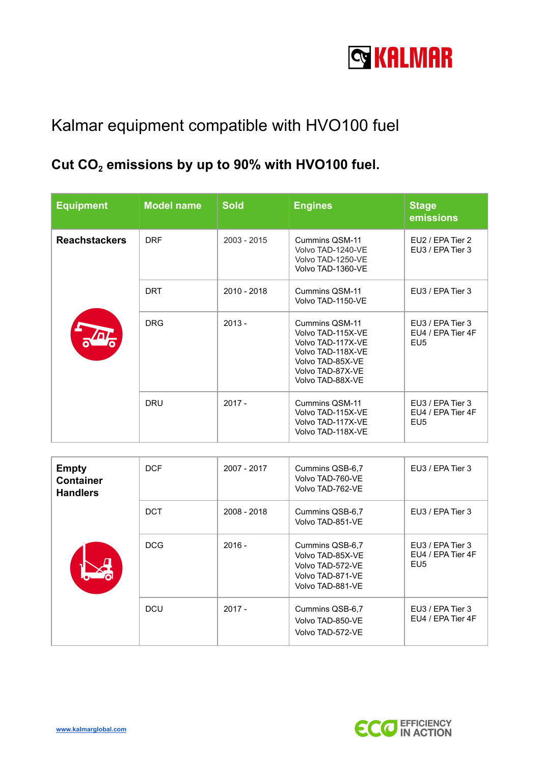

## Kalmar equipment compatible with HVO100 fuel

## **Cut CO<sup>2</sup> emissions by up to 90% with HVO100 fuel.**

| <b>Equipment</b>     | <b>Model name</b> | <b>Sold</b>   | <b>Engines</b>                                                                                                                            | <b>Stage</b><br>emissions                                |
|----------------------|-------------------|---------------|-------------------------------------------------------------------------------------------------------------------------------------------|----------------------------------------------------------|
| <b>Reachstackers</b> | <b>DRF</b>        | $2003 - 2015$ | Cummins QSM-11<br>Volvo TAD-1240-VE<br>Volvo TAD-1250-VE<br>Volvo TAD-1360-VE                                                             | EU2 / EPA Tier 2<br>EU3 / EPA Tier 3                     |
|                      | <b>DRT</b>        | 2010 - 2018   | Cummins QSM-11<br>Volvo TAD-1150-VE                                                                                                       | EU3 / EPA Tier 3                                         |
|                      | <b>DRG</b>        | $2013 -$      | Cummins QSM-11<br>Volvo TAD-115X-VE<br>Volvo TAD-117X-VE<br>Volvo TAD-118X-VE<br>Volvo TAD-85X-VE<br>Volvo TAD-87X-VE<br>Volvo TAD-88X-VE | EU3 / EPA Tier 3<br>EU4 / EPA Tier 4F<br>EU <sub>5</sub> |
|                      | <b>DRU</b>        | $2017 -$      | Cummins QSM-11<br>Volvo TAD-115X-VE<br>Volvo TAD-117X-VE<br>Volvo TAD-118X-VE                                                             | EU3 / EPA Tier 3<br>EU4 / EPA Tier 4F<br>EU <sub>5</sub> |

| <b>Empty</b><br><b>Container</b><br><b>Handlers</b> | <b>DCF</b> | 2007 - 2017 | Cummins QSB-6,7<br>Volvo TAD-760-VE<br>Volvo TAD-762-VE                                         | EU3 / EPA Tier 3                                         |
|-----------------------------------------------------|------------|-------------|-------------------------------------------------------------------------------------------------|----------------------------------------------------------|
|                                                     | <b>DCT</b> | 2008 - 2018 | Cummins QSB-6,7<br>Volvo TAD-851-VE                                                             | EU3 / EPA Tier 3                                         |
|                                                     | <b>DCG</b> | $2016 -$    | Cummins QSB-6,7<br>Volvo TAD-85X-VE<br>Volvo TAD-572-VE<br>Volvo TAD-871-VE<br>Volvo TAD-881-VE | EU3 / EPA Tier 3<br>EU4 / EPA Tier 4F<br>EU <sub>5</sub> |
|                                                     | <b>DCU</b> | $2017 -$    | Cummins QSB-6,7<br>Volvo TAD-850-VE<br>Volvo TAD-572-VE                                         | EU3 / EPA Tier 3<br>EU4 / EPA Tier 4F                    |

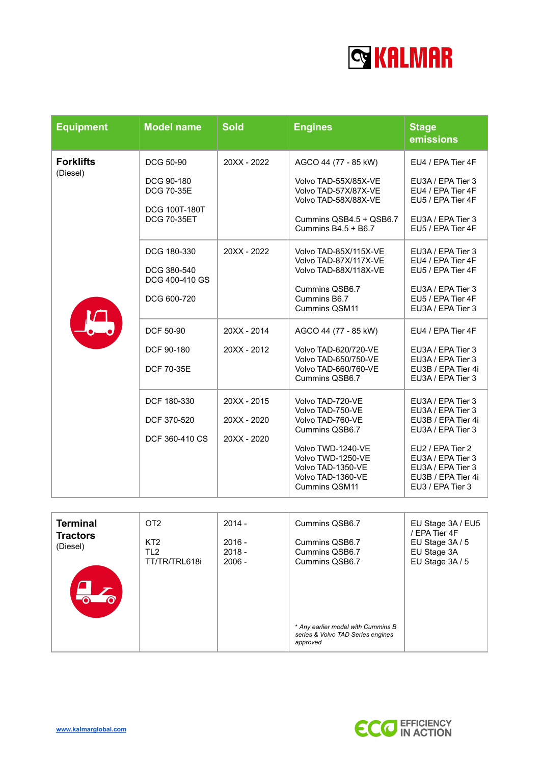

| <b>Equipment</b>             | <b>Model name</b>                            | <b>Sold</b>                               | <b>Engines</b>                                                                                           | <b>Stage</b><br>emissions                                                                            |
|------------------------------|----------------------------------------------|-------------------------------------------|----------------------------------------------------------------------------------------------------------|------------------------------------------------------------------------------------------------------|
| <b>Forklifts</b><br>(Diesel) | <b>DCG 50-90</b>                             | 20XX - 2022                               | AGCO 44 (77 - 85 kW)                                                                                     | EU4 / EPA Tier 4F                                                                                    |
|                              | DCG 90-180<br><b>DCG 70-35E</b>              |                                           | Volvo TAD-55X/85X-VE<br>Volvo TAD-57X/87X-VE<br>Volvo TAD-58X/88X-VE                                     | EU3A / EPA Tier 3<br>EU4 / EPA Tier 4F<br>EU5 / EPA Tier 4F                                          |
|                              | <b>DCG 100T-180T</b><br><b>DCG 70-35ET</b>   |                                           | Cummins QSB4.5 + QSB6.7<br>Cummins $B4.5 + B6.7$                                                         | EU3A / EPA Tier 3<br>EU5 / EPA Tier 4F                                                               |
|                              | DCG 180-330<br>DCG 380-540                   | 20XX - 2022                               | Volvo TAD-85X/115X-VE<br>Volvo TAD-87X/117X-VE<br>Volvo TAD-88X/118X-VE                                  | EU3A / EPA Tier 3<br>EU4 / EPA Tier 4F<br>EU5 / EPA Tier 4F                                          |
|                              | DCG 400-410 GS<br>DCG 600-720                |                                           | Cummins QSB6.7<br>Cummins B6.7<br>Cummins QSM11                                                          | EU3A / EPA Tier 3<br>EU5 / EPA Tier 4F<br>EU3A / EPA Tier 3                                          |
|                              | DCF 50-90                                    | 20XX - 2014                               | AGCO 44 (77 - 85 kW)                                                                                     | EU4 / EPA Tier 4F                                                                                    |
|                              | DCF 90-180<br><b>DCF 70-35E</b>              | 20XX - 2012                               | Volvo TAD-620/720-VE<br><b>Volvo TAD-650/750-VE</b><br>Volvo TAD-660/760-VE<br>Cummins QSB6.7            | EU3A / EPA Tier 3<br>EU3A / EPA Tier 3<br>EU3B / EPA Tier 4i<br>EU3A / EPA Tier 3                    |
|                              | DCF 180-330<br>DCF 370-520<br>DCF 360-410 CS | 20XX - 2015<br>20XX - 2020<br>20XX - 2020 | Volvo TAD-720-VE<br>Volvo TAD-750-VE<br>Volvo TAD-760-VE<br>Cummins QSB6.7                               | EU3A / EPA Tier 3<br>EU3A / EPA Tier 3<br>EU3B / EPA Tier 4i<br>EU3A / EPA Tier 3                    |
|                              |                                              |                                           | Volvo TWD-1240-VE<br>Volvo TWD-1250-VE<br>Volvo TAD-1350-VE<br>Volvo TAD-1360-VE<br><b>Cummins QSM11</b> | EU2 / EPA Tier 2<br>EU3A / EPA Tier 3<br>EU3A / EPA Tier 3<br>EU3B / EPA Tier 4i<br>EU3 / EPA Tier 3 |

| <b>Terminal</b><br><b>Tractors</b> | OT <sub>2</sub><br>KT <sub>2</sub> | $2014 -$<br>$2016 -$ | Cummins QSB6.7<br>Cummins QSB6.7                                                    | EU Stage 3A / EU5<br>/ EPA Tier 4F<br>EU Stage 3A / 5 |
|------------------------------------|------------------------------------|----------------------|-------------------------------------------------------------------------------------|-------------------------------------------------------|
| (Diesel)<br>$\bullet$              | TL <sub>2</sub><br>TT/TR/TRL618i   | $2018 -$<br>$2006 -$ | Cummins QSB6.7<br>Cummins QSB6.7                                                    | EU Stage 3A<br>EU Stage 3A / 5                        |
|                                    |                                    |                      | * Any earlier model with Cummins B<br>series & Volvo TAD Series engines<br>approved |                                                       |